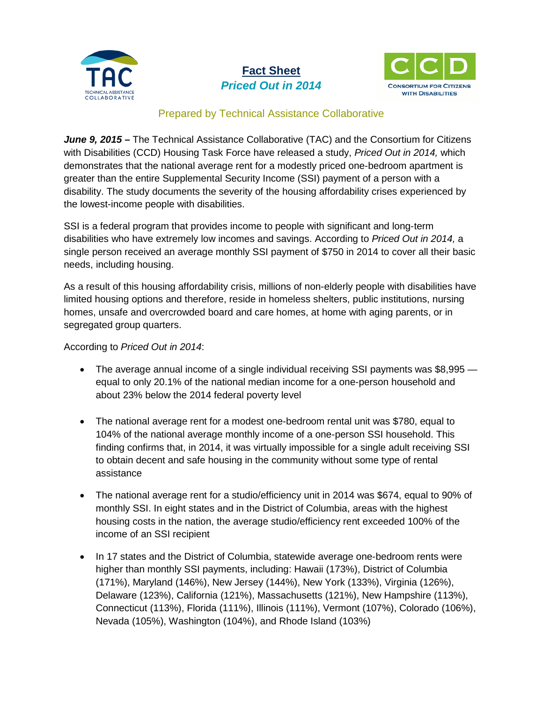

## **Fact Sheet** *Priced Out in 2014*



## Prepared by Technical Assistance Collaborative

*June 9, 2015 –* The Technical Assistance Collaborative (TAC) and the Consortium for Citizens with Disabilities (CCD) Housing Task Force have released a study, *Priced Out in 2014,* which demonstrates that the national average rent for a modestly priced one-bedroom apartment is greater than the entire Supplemental Security Income (SSI) payment of a person with a disability. The study documents the severity of the housing affordability crises experienced by the lowest-income people with disabilities.

SSI is a federal program that provides income to people with significant and long-term disabilities who have extremely low incomes and savings. According to *Priced Out in 2014,* a single person received an average monthly SSI payment of \$750 in 2014 to cover all their basic needs, including housing.

As a result of this housing affordability crisis, millions of non-elderly people with disabilities have limited housing options and therefore, reside in homeless shelters, public institutions, nursing homes, unsafe and overcrowded board and care homes, at home with aging parents, or in segregated group quarters.

## According to *Priced Out in 2014*:

- The average annual income of a single individual receiving SSI payments was \$8,995 equal to only 20.1% of the national median income for a one-person household and about 23% below the 2014 federal poverty level
- The national average rent for a modest one-bedroom rental unit was \$780, equal to 104% of the national average monthly income of a one-person SSI household. This finding confirms that, in 2014, it was virtually impossible for a single adult receiving SSI to obtain decent and safe housing in the community without some type of rental assistance
- The national average rent for a studio/efficiency unit in 2014 was \$674, equal to 90% of monthly SSI. In eight states and in the District of Columbia, areas with the highest housing costs in the nation, the average studio/efficiency rent exceeded 100% of the income of an SSI recipient
- In 17 states and the District of Columbia, statewide average one-bedroom rents were higher than monthly SSI payments, including: Hawaii (173%), District of Columbia (171%), Maryland (146%), New Jersey (144%), New York (133%), Virginia (126%), Delaware (123%), California (121%), Massachusetts (121%), New Hampshire (113%), Connecticut (113%), Florida (111%), Illinois (111%), Vermont (107%), Colorado (106%), Nevada (105%), Washington (104%), and Rhode Island (103%)